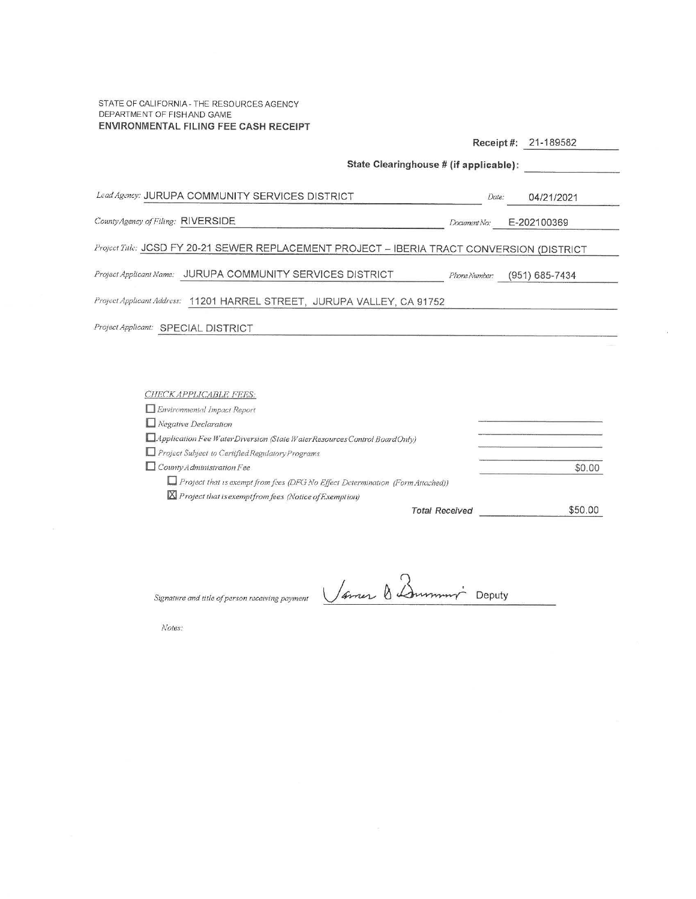STATE OF CALIFORNIA - THE RESOURCES AGENCY DEPARTMENT OF FISH AND GAME ENVIRONMENTAL FILING FEE CASH RECEIPT

|                                                                                            | 21-189582<br>$Receipt \#$ :            |  |  |  |
|--------------------------------------------------------------------------------------------|----------------------------------------|--|--|--|
|                                                                                            | State Clearinghouse # (if applicable): |  |  |  |
| Lead Agency: JURUPA COMMUNITY SERVICES DISTRICT                                            | Date:<br>04/21/2021                    |  |  |  |
| County Agency of Filing: RIVERSIDE                                                         | E-202100369<br>Document No:            |  |  |  |
| Project Title: JCSD FY 20-21 SEWER REPLACEMENT PROJECT - IBERIA TRACT CONVERSION (DISTRICT |                                        |  |  |  |
| Project Applicant Name: JURUPA COMMUNITY SERVICES DISTRICT                                 | $(951) 685 - 7434$<br>Phone Number:    |  |  |  |
| Project Applicant Address: 11201 HARREL STREET, JURUPA VALLEY, CA 91752                    |                                        |  |  |  |
| Project Applicant: SPECIAL DISTRICT                                                        |                                        |  |  |  |
|                                                                                            |                                        |  |  |  |
|                                                                                            |                                        |  |  |  |
| CHECK APPLICABLE FEES:                                                                     |                                        |  |  |  |

| Environmental Impact Report                                                    |         |
|--------------------------------------------------------------------------------|---------|
| $\Box$ Negative Declaration                                                    |         |
| Application Fee WaterDiversion (State WaterResources Control BoardOnly)        |         |
| Project Subject to Certified Regulatory Programs                               |         |
| $\Box$ County Administration Fee                                               | \$0.00  |
| Project that is exempt from fees (DFG No Effect Determination (Form Attached)) |         |
| X Project that is exempt from fees (Notice of Exemption)                       |         |
| <b>Total Received</b>                                                          | \$50.00 |

Signature and title of person receiving payment

Vanes & Dummin Deputy

 $\alpha$ 

Notes: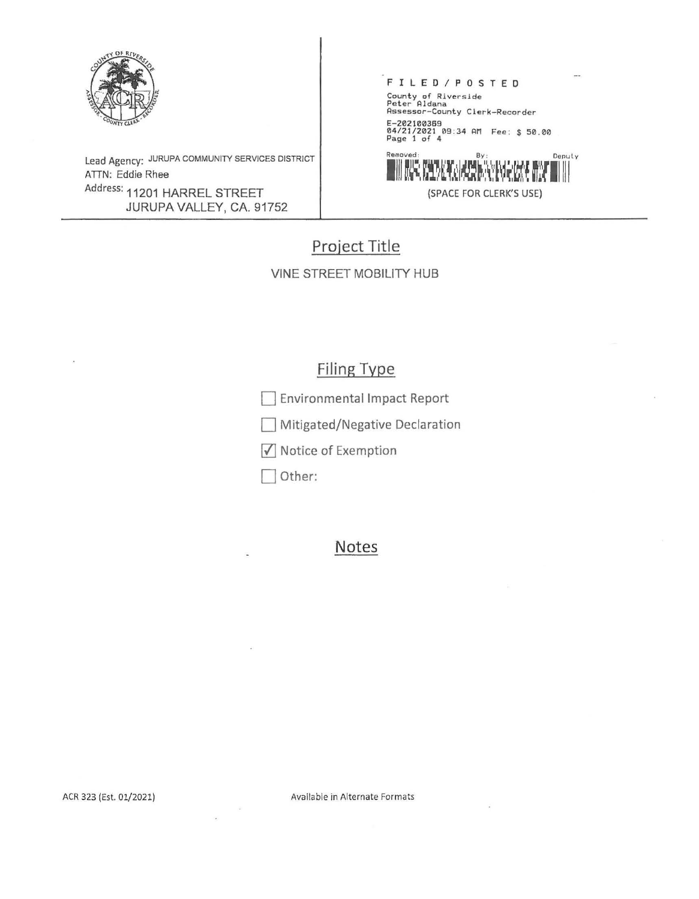

Lead Agency: JURUPA COMMUNITY SERVICES DISTRICT ATTN: Eddie Rhee Address: 11201 HARREL STREET JURUPA VALLEY, CA. 91752

## F I L E D / **P** O S T **E D**  County of Riverside Peter Aldana Assessor-County Clerk-Recorder E-202100369 04/21/2021 09:34 AM Fee: \$ 50.00 Page 1 of 4 Removed:



# **Project Title**

VINE STREET MOBILITY HUB

## **Filing Type**

0 Environmental Impact Report

Mitigated/Negative Declaration

 $\sqrt{\phantom{a}}$  Notice of Exemption

Other:

### **Notes**

Available in Alternate Formats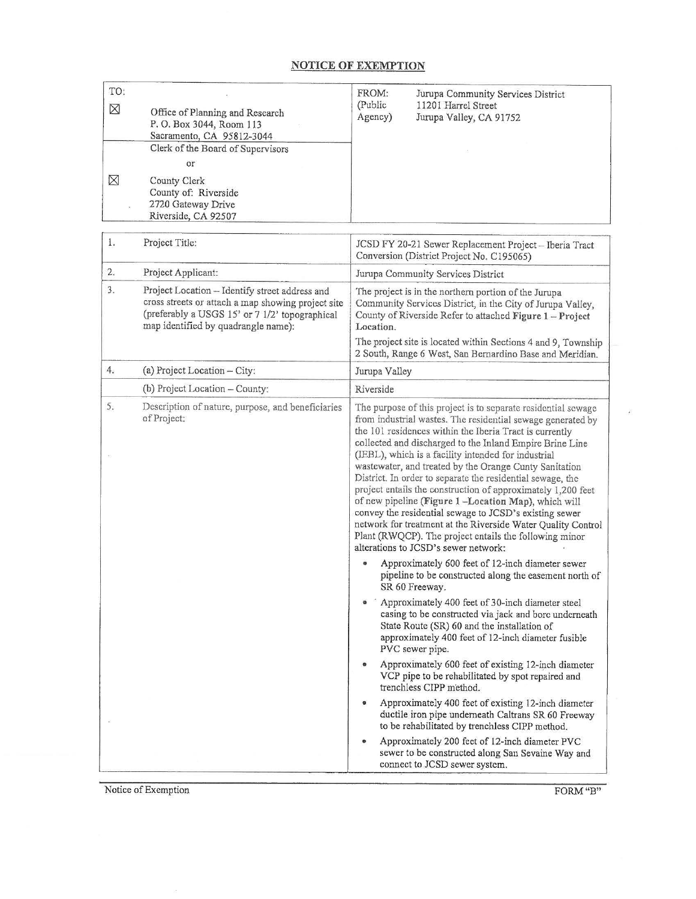### **NOTICE OF EXEMPTION**

| TO:<br>$\boxtimes$<br>⊠ | Office of Planning and Research<br>P.O. Box 3044, Room 113<br>Sacramento, CA 95812-3044<br>Clerk of the Board of Supervisors<br>or<br>County Clerk                                            | FROM:<br>Jurupa Community Services District<br>(Public<br>11201 Harrel Street<br>Agency)<br>Jurupa Valley, CA 91752                                                                                                                                                                                                                                                                                                                                                                                                                                                                                                                                                                                                                                                                   |  |
|-------------------------|-----------------------------------------------------------------------------------------------------------------------------------------------------------------------------------------------|---------------------------------------------------------------------------------------------------------------------------------------------------------------------------------------------------------------------------------------------------------------------------------------------------------------------------------------------------------------------------------------------------------------------------------------------------------------------------------------------------------------------------------------------------------------------------------------------------------------------------------------------------------------------------------------------------------------------------------------------------------------------------------------|--|
|                         | County of: Riverside<br>2720 Gateway Drive<br>Riverside, CA 92507                                                                                                                             |                                                                                                                                                                                                                                                                                                                                                                                                                                                                                                                                                                                                                                                                                                                                                                                       |  |
| 1.                      | Project Title:                                                                                                                                                                                | JCSD FY 20-21 Sewer Replacement Project-Iberia Tract<br>Conversion (District Project No. C195065)                                                                                                                                                                                                                                                                                                                                                                                                                                                                                                                                                                                                                                                                                     |  |
| 2.                      | Project Applicant:                                                                                                                                                                            | Jurupa Community Services District                                                                                                                                                                                                                                                                                                                                                                                                                                                                                                                                                                                                                                                                                                                                                    |  |
| 3.                      | Project Location - Identify street address and<br>cross streets or attach a map showing project site<br>(preferably a USGS 15' or 7 1/2' topographical<br>map identified by quadrangle name): | The project is in the northern portion of the Jurupa<br>Community Services District, in the City of Jurupa Valley,<br>County of Riverside Refer to attached Figure 1 - Project<br>Location.<br>The project site is located within Sections 4 and 9, Township                                                                                                                                                                                                                                                                                                                                                                                                                                                                                                                          |  |
|                         |                                                                                                                                                                                               | 2 South, Range 6 West, San Bernardino Base and Meridian.                                                                                                                                                                                                                                                                                                                                                                                                                                                                                                                                                                                                                                                                                                                              |  |
| 4.                      | (a) Project Location - City:                                                                                                                                                                  | Jurupa Valley                                                                                                                                                                                                                                                                                                                                                                                                                                                                                                                                                                                                                                                                                                                                                                         |  |
|                         | (b) Project Location - County:                                                                                                                                                                | Riverside                                                                                                                                                                                                                                                                                                                                                                                                                                                                                                                                                                                                                                                                                                                                                                             |  |
| 5.                      | Description of nature, purpose, and beneficiaries<br>of Project:                                                                                                                              | The purpose of this project is to separate residential sewage<br>from industrial wastes. The residential sewage generated by<br>the 101 residences within the Iberia Tract is currently<br>collected and discharged to the Inland Empire Brine Line<br>(IEBL), which is a facility intended for industrial<br>wastewater, and treated by the Orange Cunty Sanitation<br>District. In order to separate the residential sewage, the<br>project entails the construction of approximately 1,200 feet<br>of new pipeline (Figure 1-Location Map), which will<br>convey the residential sewage to JCSD's existing sewer<br>network for treatment at the Riverside Water Quality Control<br>Plant (RWQCP). The project entails the following minor<br>alterations to JCSD's sewer network: |  |
|                         |                                                                                                                                                                                               | Approximately 600 feet of 12-inch diameter sewer<br>pipeline to be constructed along the easement north of<br>SR 60 Freeway.<br>Approximately 400 feet of 30-inch diameter steel<br>casing to be constructed via jack and bore underneath<br>State Route (SR) 60 and the installation of<br>approximately 400 feet of 12-inch diameter fusible<br>PVC sewer pipe.                                                                                                                                                                                                                                                                                                                                                                                                                     |  |
|                         |                                                                                                                                                                                               | Approximately 600 feet of existing 12-inch diameter<br>VCP pipe to be rehabilitated by spot repaired and<br>trenchless CIPP method.<br>Approximately 400 feet of existing 12-inch diameter<br>ductile iron pipe underneath Caltrans SR 60 Freeway<br>to be rehabilitated by trenchless CIPP method.<br>Approximately 200 feet of 12-inch diameter PVC                                                                                                                                                                                                                                                                                                                                                                                                                                 |  |
|                         |                                                                                                                                                                                               | sewer to be constructed along San Sevaine Way and<br>connect to JCSD sewer system.                                                                                                                                                                                                                                                                                                                                                                                                                                                                                                                                                                                                                                                                                                    |  |

Notice of Exemption FORM "B"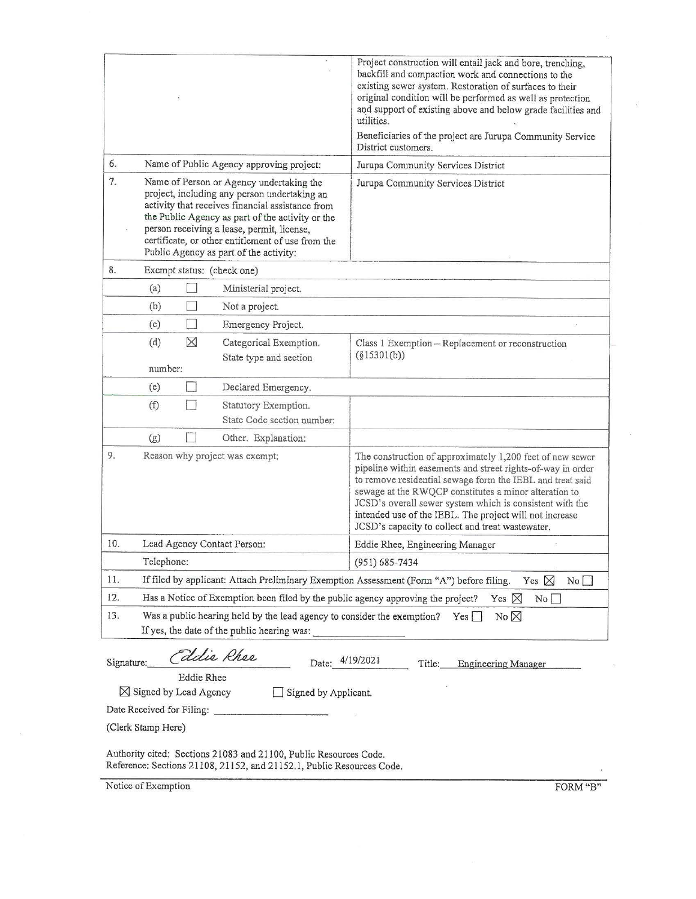|            |                                                                                                                                                                                                                                                                                                                                               | Project construction will entail jack and bore, trenching,<br>backfill and compaction work and connections to the<br>existing sewer system. Restoration of surfaces to their<br>original condition will be performed as well as protection<br>and support of existing above and below grade facilities and<br>utilities.<br>Beneficiaries of the project are Jurupa Community Service<br>District customers.              |  |
|------------|-----------------------------------------------------------------------------------------------------------------------------------------------------------------------------------------------------------------------------------------------------------------------------------------------------------------------------------------------|---------------------------------------------------------------------------------------------------------------------------------------------------------------------------------------------------------------------------------------------------------------------------------------------------------------------------------------------------------------------------------------------------------------------------|--|
| 6.         | Name of Public Agency approving project:                                                                                                                                                                                                                                                                                                      | Jurupa Community Services District                                                                                                                                                                                                                                                                                                                                                                                        |  |
| 7.         | Name of Person or Agency undertaking the<br>project, including any person undertaking an<br>activity that receives financial assistance from<br>the Public Agency as part of the activity or the<br>person receiving a lease, permit, license,<br>certificate, or other entitlement of use from the<br>Public Agency as part of the activity: | Jurupa Community Services District                                                                                                                                                                                                                                                                                                                                                                                        |  |
| 8.         | Exempt status: (check one)                                                                                                                                                                                                                                                                                                                    |                                                                                                                                                                                                                                                                                                                                                                                                                           |  |
|            | (a)<br>Ministerial project.                                                                                                                                                                                                                                                                                                                   |                                                                                                                                                                                                                                                                                                                                                                                                                           |  |
|            | (b)<br>Not a project.                                                                                                                                                                                                                                                                                                                         |                                                                                                                                                                                                                                                                                                                                                                                                                           |  |
|            | (c)<br>Emergency Project.                                                                                                                                                                                                                                                                                                                     |                                                                                                                                                                                                                                                                                                                                                                                                                           |  |
|            | $\times$<br>(d)<br>Categorical Exemption.<br>State type and section<br>number:                                                                                                                                                                                                                                                                | Class 1 Exemption - Replacement or reconstruction<br>(§15301(b))                                                                                                                                                                                                                                                                                                                                                          |  |
|            | (e)<br>Declared Emergency.                                                                                                                                                                                                                                                                                                                    |                                                                                                                                                                                                                                                                                                                                                                                                                           |  |
|            | (f)<br>Statutory Exemption.<br>State Code section number:                                                                                                                                                                                                                                                                                     |                                                                                                                                                                                                                                                                                                                                                                                                                           |  |
|            | (g)<br>Other. Explanation:                                                                                                                                                                                                                                                                                                                    |                                                                                                                                                                                                                                                                                                                                                                                                                           |  |
| 9.         | Reason why project was exempt:                                                                                                                                                                                                                                                                                                                | The construction of approximately 1,200 feet of new sewer<br>pipeline within easements and street rights-of-way in order<br>to remove residential sewage form the IEBL and treat said<br>sewage at the RWQCP constitutes a minor alteration to<br>JCSD's overall sewer system which is consistent with the<br>intended use of the IEBL. The project will not increase<br>JCSD's capacity to collect and treat wastewater. |  |
| 10.        | Lead Agency Contact Person:                                                                                                                                                                                                                                                                                                                   | Eddie Rhee, Engineering Manager                                                                                                                                                                                                                                                                                                                                                                                           |  |
|            | Telephone:                                                                                                                                                                                                                                                                                                                                    | $(951) 685 - 7434$                                                                                                                                                                                                                                                                                                                                                                                                        |  |
| 11.        | If filed by applicant: Attach Preliminary Exemption Assessment (Form "A") before filing.<br>Yes $\boxtimes$<br>No                                                                                                                                                                                                                             |                                                                                                                                                                                                                                                                                                                                                                                                                           |  |
| 12.        | Has a Notice of Exemption been filed by the public agency approving the project?<br>Yes $\times$<br>No                                                                                                                                                                                                                                        |                                                                                                                                                                                                                                                                                                                                                                                                                           |  |
| 13.        | Was a public hearing held by the lead agency to consider the exemption?<br>No $\times$<br>Yes<br>If yes, the date of the public hearing was:                                                                                                                                                                                                  |                                                                                                                                                                                                                                                                                                                                                                                                                           |  |
| Signature: | Edie Rhee<br><b>Eddie Rhee</b><br>$\boxtimes$ Signed by Lead Agency<br>Signed by Applicant.<br>(Clerk Stamp Here)                                                                                                                                                                                                                             | Date: 4/19/2021<br>Title:<br><b>Engineering Manager</b>                                                                                                                                                                                                                                                                                                                                                                   |  |
|            | Authority cited: Sections 21083 and 21100, Public Resources Code.<br>Reference: Sections 21108, 21152, and 21152.1, Public Resources Code.                                                                                                                                                                                                    |                                                                                                                                                                                                                                                                                                                                                                                                                           |  |

Notice of Exemption FORM "B"

 $\sim$